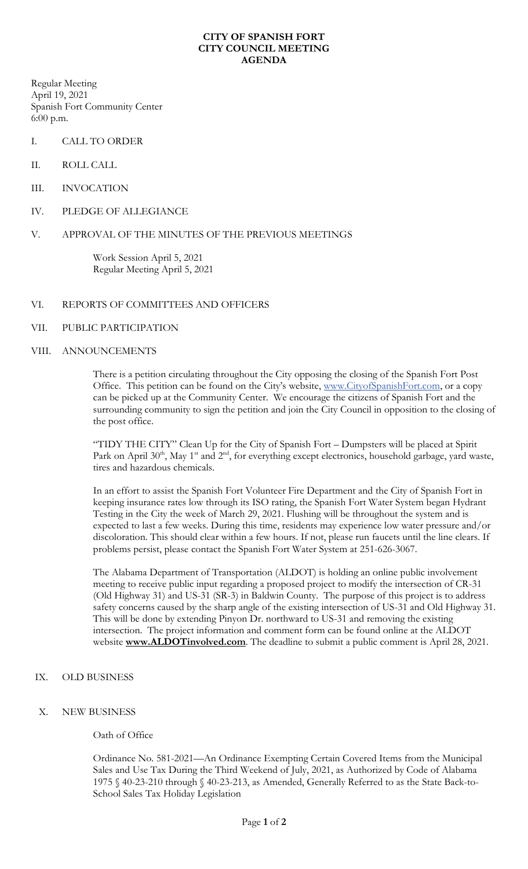## **CITY OF SPANISH FORT CITY COUNCIL MEETING AGENDA**

Regular Meeting April 19, 2021 Spanish Fort Community Center 6:00 p.m.

- I. CALL TO ORDER
- II. ROLL CALL
- III. INVOCATION
- IV. PLEDGE OF ALLEGIANCE
- V. APPROVAL OF THE MINUTES OF THE PREVIOUS MEETINGS

Work Session April 5, 2021 Regular Meeting April 5, 2021

## VI. REPORTS OF COMMITTEES AND OFFICERS

- VII. PUBLIC PARTICIPATION
- VIII. ANNOUNCEMENTS

There is a petition circulating throughout the City opposing the closing of the Spanish Fort Post Office. This petition can be found on the City's website, [www.CityofSpanishFort.com,](http://www.cityofspanishfort.com/) or a copy can be picked up at the Community Center. We encourage the citizens of Spanish Fort and the surrounding community to sign the petition and join the City Council in opposition to the closing of the post office.

"TIDY THE CITY" Clean Up for the City of Spanish Fort – Dumpsters will be placed at Spirit Park on April 30<sup>th</sup>, May 1<sup>st</sup> and 2<sup>nd</sup>, for everything except electronics, household garbage, yard waste, tires and hazardous chemicals.

In an effort to assist the Spanish Fort Volunteer Fire Department and the City of Spanish Fort in keeping insurance rates low through its ISO rating, the Spanish Fort Water System began Hydrant Testing in the City the week of March 29, 2021. Flushing will be throughout the system and is expected to last a few weeks. During this time, residents may experience low water pressure and/or discoloration. This should clear within a few hours. If not, please run faucets until the line clears. If problems persist, please contact the Spanish Fort Water System at 251-626-3067.

The Alabama Department of Transportation (ALDOT) is holding an online public involvement meeting to receive public input regarding a proposed project to modify the intersection of CR-31 (Old Highway 31) and US-31 (SR-3) in Baldwin County. The purpose of this project is to address safety concerns caused by the sharp angle of the existing intersection of US-31 and Old Highway 31. This will be done by extending Pinyon Dr. northward to US-31 and removing the existing intersection. The project information and comment form can be found online at the ALDOT website **[www.ALDOTinvolved.com](http://www.aldotinvolved.com/)**. The deadline to submit a public comment is April 28, 2021.

- IX. OLD BUSINESS
- X. NEW BUSINESS

## Oath of Office

Ordinance No. 581-2021—An Ordinance Exempting Certain Covered Items from the Municipal Sales and Use Tax During the Third Weekend of July, 2021, as Authorized by Code of Alabama 1975 § 40-23-210 through § 40-23-213, as Amended, Generally Referred to as the State Back-to-School Sales Tax Holiday Legislation